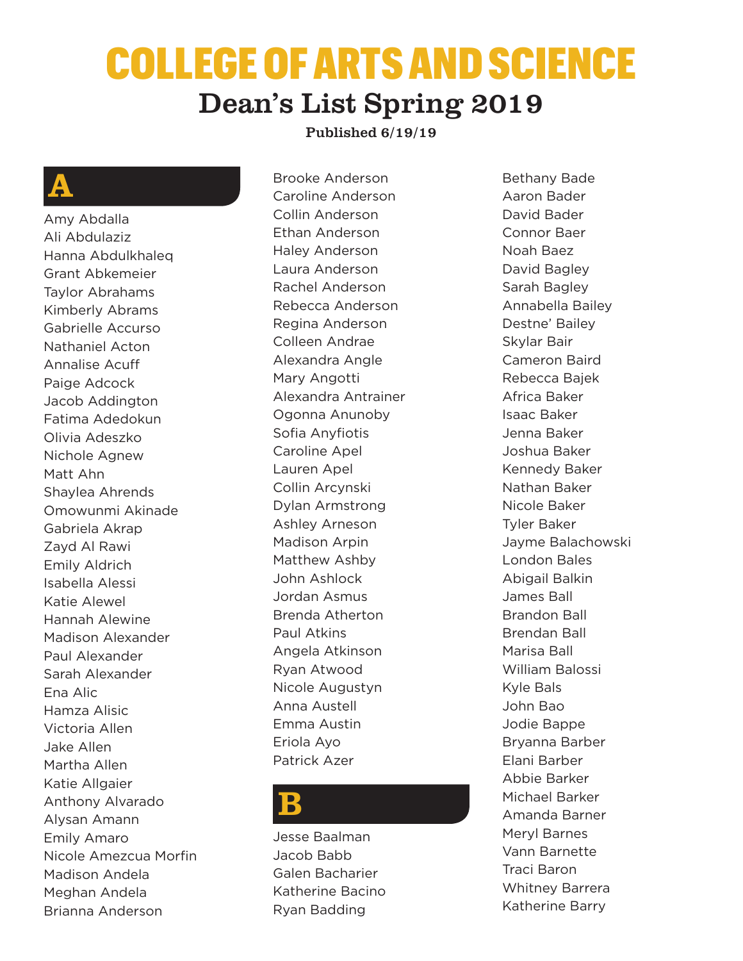# COLLEGE OF ARTS AND SCIENCE Dean's List Spring 2019

#### Published 6/19/19

### A

Amy Abdalla Ali Abdulaziz Hanna Abdulkhaleq Grant Abkemeier Taylor Abrahams Kimberly Abrams Gabrielle Accurso Nathaniel Acton Annalise Acuff Paige Adcock Jacob Addington Fatima Adedokun Olivia Adeszko Nichole Agnew Matt Ahn Shaylea Ahrends Omowunmi Akinade Gabriela Akrap Zayd Al Rawi Emily Aldrich Isabella Alessi Katie Alewel Hannah Alewine Madison Alexander Paul Alexander Sarah Alexander Ena Alic Hamza Alisic Victoria Allen Jake Allen Martha Allen Katie Allgaier Anthony Alvarado Alysan Amann Emily Amaro Nicole Amezcua Morfin Madison Andela Meghan Andela Brianna Anderson

Brooke Anderson Caroline Anderson Collin Anderson Ethan Anderson Haley Anderson Laura Anderson Rachel Anderson Rebecca Anderson Regina Anderson Colleen Andrae Alexandra Angle Mary Angotti Alexandra Antrainer Ogonna Anunoby Sofia Anyfiotis Caroline Apel Lauren Apel Collin Arcynski Dylan Armstrong Ashley Arneson Madison Arpin Matthew Ashby John Ashlock Jordan Asmus Brenda Atherton Paul Atkins Angela Atkinson Ryan Atwood Nicole Augustyn Anna Austell Emma Austin Eriola Ayo Patrick Azer

#### B

Jesse Baalman Jacob Babb Galen Bacharier Katherine Bacino Ryan Badding

Bethany Bade Aaron Bader David Bader Connor Baer Noah Baez David Bagley Sarah Bagley Annabella Bailey Destne' Bailey Skylar Bair Cameron Baird Rebecca Bajek Africa Baker Isaac Baker Jenna Baker Joshua Baker Kennedy Baker Nathan Baker Nicole Baker Tyler Baker Jayme Balachowski London Bales Abigail Balkin James Ball Brandon Ball Brendan Ball Marisa Ball William Balossi Kyle Bals John Bao Jodie Bappe Bryanna Barber Elani Barber Abbie Barker Michael Barker Amanda Barner Meryl Barnes Vann Barnette Traci Baron Whitney Barrera Katherine Barry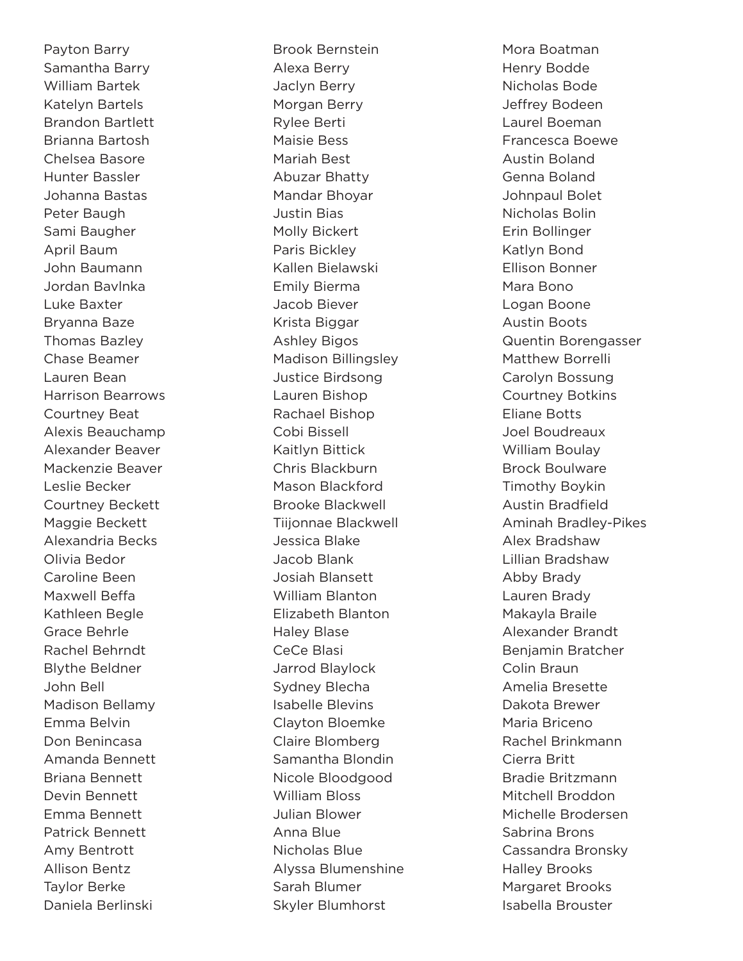Payton Barry Samantha Barry William Bartek Katelyn Bartels Brandon Bartlett Brianna Bartosh Chelsea Basore Hunter Bassler Johanna Bastas Peter Baugh Sami Baugher April Baum John Baumann Jordan Bavlnka Luke Baxter Bryanna Baze Thomas Bazley Chase Beamer Lauren Bean Harrison Bearrows Courtney Beat Alexis Beauchamp Alexander Beaver Mackenzie Beaver Leslie Becker Courtney Beckett Maggie Beckett Alexandria Becks Olivia Bedor Caroline Been Maxwell Beffa Kathleen Begle Grace Behrle Rachel Behrndt Blythe Beldner John Bell Madison Bellamy Emma Belvin Don Benincasa Amanda Bennett Briana Bennett Devin Bennett Emma Bennett Patrick Bennett Amy Bentrott Allison Bentz Taylor Berke Daniela Berlinski

Brook Bernstein Alexa Berry Jaclyn Berry Morgan Berry Rylee Berti Maisie Bess Mariah Best Abuzar Bhatty Mandar Bhoyar Justin Bias Molly Bickert Paris Bickley Kallen Bielawski Emily Bierma Jacob Biever Krista Biggar Ashley Bigos Madison Billingsley Justice Birdsong Lauren Bishop Rachael Bishop Cobi Bissell Kaitlyn Bittick Chris Blackburn Mason Blackford Brooke Blackwell Tiijonnae Blackwell Jessica Blake Jacob Blank Josiah Blansett William Blanton Elizabeth Blanton Haley Blase CeCe Blasi Jarrod Blaylock Sydney Blecha Isabelle Blevins Clayton Bloemke Claire Blomberg Samantha Blondin Nicole Bloodgood William Bloss Julian Blower Anna Blue Nicholas Blue Alyssa Blumenshine Sarah Blumer Skyler Blumhorst

Mora Boatman Henry Bodde Nicholas Bode Jeffrey Bodeen Laurel Boeman Francesca Boewe Austin Boland Genna Boland Johnpaul Bolet Nicholas Bolin Erin Bollinger Katlyn Bond Ellison Bonner Mara Bono Logan Boone Austin Boots Quentin Borengasser Matthew Borrelli Carolyn Bossung Courtney Botkins Eliane Botts Joel Boudreaux William Boulay Brock Boulware Timothy Boykin Austin Bradfield Aminah Bradley-Pikes Alex Bradshaw Lillian Bradshaw Abby Brady Lauren Brady Makayla Braile Alexander Brandt Benjamin Bratcher Colin Braun Amelia Bresette Dakota Brewer Maria Briceno Rachel Brinkmann Cierra Britt Bradie Britzmann Mitchell Broddon Michelle Brodersen Sabrina Brons Cassandra Bronsky Halley Brooks Margaret Brooks Isabella Brouster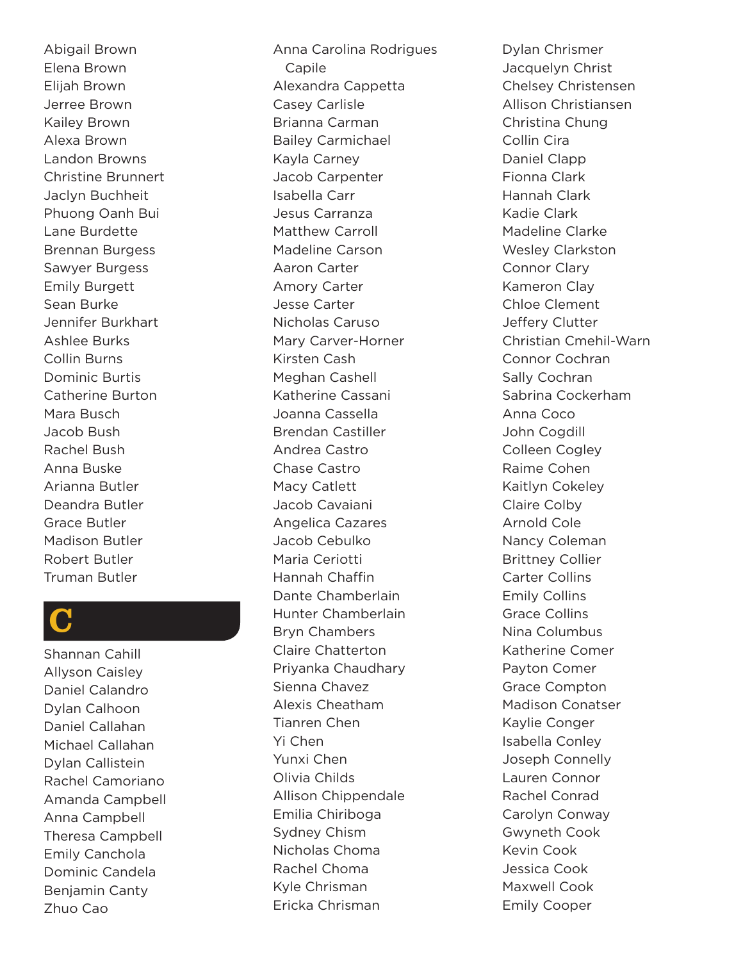Abigail Brown Elena Brown Elijah Brown Jerree Brown Kailey Brown Alexa Brown Landon Browns Christine Brunnert Jaclyn Buchheit Phuong Oanh Bui Lane Burdette Brennan Burgess Sawyer Burgess Emily Burgett Sean Burke Jennifer Burkhart Ashlee Burks Collin Burns Dominic Burtis Catherine Burton Mara Busch Jacob Bush Rachel Bush Anna Buske Arianna Butler Deandra Butler Grace Butler Madison Butler Robert Butler Truman Butler

### C

Shannan Cahill Allyson Caisley Daniel Calandro Dylan Calhoon Daniel Callahan Michael Callahan Dylan Callistein Rachel Camoriano Amanda Campbell Anna Campbell Theresa Campbell Emily Canchola Dominic Candela Benjamin Canty Zhuo Cao

Anna Carolina Rodrigues Capile Alexandra Cappetta Casey Carlisle Brianna Carman Bailey Carmichael Kayla Carney Jacob Carpenter Isabella Carr Jesus Carranza Matthew Carroll Madeline Carson Aaron Carter Amory Carter Jesse Carter Nicholas Caruso Mary Carver-Horner Kirsten Cash Meghan Cashell Katherine Cassani Joanna Cassella Brendan Castiller Andrea Castro Chase Castro Macy Catlett Jacob Cavaiani Angelica Cazares Jacob Cebulko Maria Ceriotti Hannah Chaffin Dante Chamberlain Hunter Chamberlain Bryn Chambers Claire Chatterton Priyanka Chaudhary Sienna Chavez Alexis Cheatham Tianren Chen Yi Chen Yunxi Chen Olivia Childs Allison Chippendale Emilia Chiriboga Sydney Chism Nicholas Choma Rachel Choma Kyle Chrisman Ericka Chrisman

Dylan Chrismer Jacquelyn Christ Chelsey Christensen Allison Christiansen Christina Chung Collin Cira Daniel Clapp Fionna Clark Hannah Clark Kadie Clark Madeline Clarke Wesley Clarkston Connor Clary Kameron Clay Chloe Clement Jeffery Clutter Christian Cmehil-Warn Connor Cochran Sally Cochran Sabrina Cockerham Anna Coco John Cogdill Colleen Cogley Raime Cohen Kaitlyn Cokeley Claire Colby Arnold Cole Nancy Coleman Brittney Collier Carter Collins Emily Collins Grace Collins Nina Columbus Katherine Comer Payton Comer Grace Compton Madison Conatser Kaylie Conger Isabella Conley Joseph Connelly Lauren Connor Rachel Conrad Carolyn Conway Gwyneth Cook Kevin Cook Jessica Cook Maxwell Cook Emily Cooper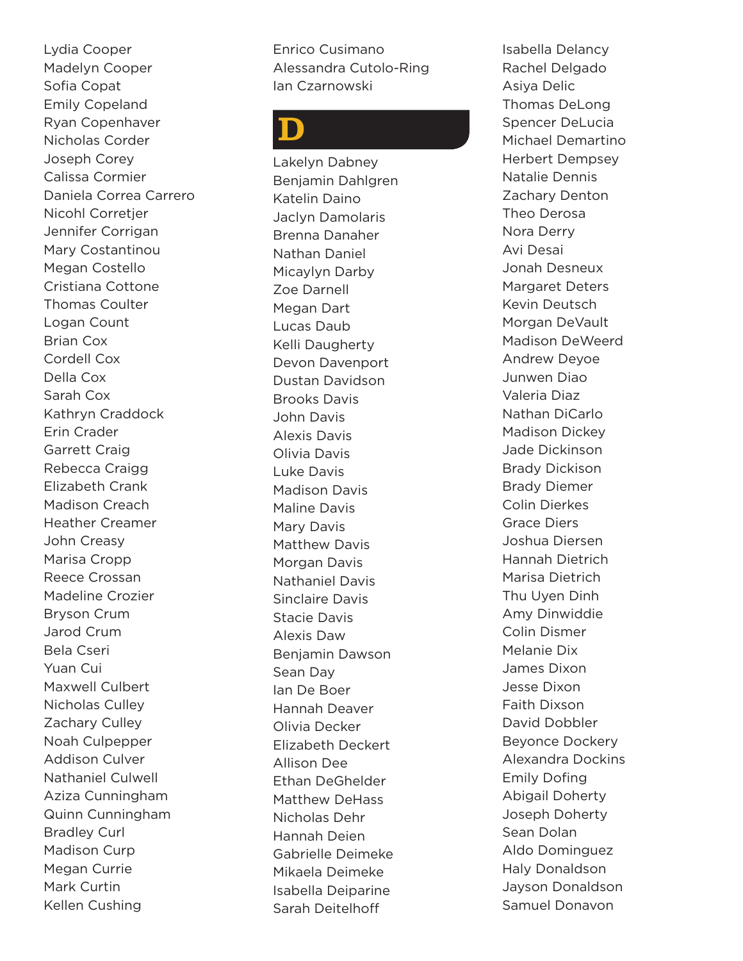Lydia Cooper Madelyn Cooper Sofia Copat Emily Copeland Ryan Copenhaver Nicholas Corder Joseph Corey Calissa Cormier Daniela Correa Carrero Nicohl Corretjer Jennifer Corrigan Mary Costantinou Megan Costello Cristiana Cottone Thomas Coulter Logan Count Brian Cox Cordell Cox Della Cox Sarah Cox Kathryn Craddock Erin Crader Garrett Craig Rebecca Craigg Elizabeth Crank Madison Creach Heather Creamer John Creasy Marisa Cropp Reece Crossan Madeline Crozier Bryson Crum Jarod Crum Bela Cseri Yuan Cui Maxwell Culbert Nicholas Culley Zachary Culley Noah Culpepper Addison Culver Nathaniel Culwell Aziza Cunningham Quinn Cunningham Bradley Curl Madison Curp Megan Currie Mark Curtin Kellen Cushing

Enrico Cusimano Alessandra Cutolo-Ring Ian Czarnowski

### D

Lakelyn Dabney Benjamin Dahlgren Katelin Daino Jaclyn Damolaris Brenna Danaher Nathan Daniel Micaylyn Darby Zoe Darnell Megan Dart Lucas Daub Kelli Daugherty Devon Davenport Dustan Davidson Brooks Davis John Davis Alexis Davis Olivia Davis Luke Davis Madison Davis Maline Davis Mary Davis Matthew Davis Morgan Davis Nathaniel Davis Sinclaire Davis Stacie Davis Alexis Daw Benjamin Dawson Sean Day Ian De Boer Hannah Deaver Olivia Decker Elizabeth Deckert Allison Dee Ethan DeGhelder Matthew DeHass Nicholas Dehr Hannah Deien Gabrielle Deimeke Mikaela Deimeke Isabella Deiparine Sarah Deitelhoff

Isabella Delancy Rachel Delgado Asiya Delic Thomas DeLong Spencer DeLucia Michael Demartino Herbert Dempsey Natalie Dennis Zachary Denton Theo Derosa Nora Derry Avi Desai Jonah Desneux Margaret Deters Kevin Deutsch Morgan DeVault Madison DeWeerd Andrew Deyoe Junwen Diao Valeria Diaz Nathan DiCarlo Madison Dickey Jade Dickinson Brady Dickison Brady Diemer Colin Dierkes Grace Diers Joshua Diersen Hannah Dietrich Marisa Dietrich Thu Uyen Dinh Amy Dinwiddie Colin Dismer Melanie Dix James Dixon Jesse Dixon Faith Dixson David Dobbler Beyonce Dockery Alexandra Dockins Emily Dofing Abigail Doherty Joseph Doherty Sean Dolan Aldo Dominguez Haly Donaldson Jayson Donaldson Samuel Donavon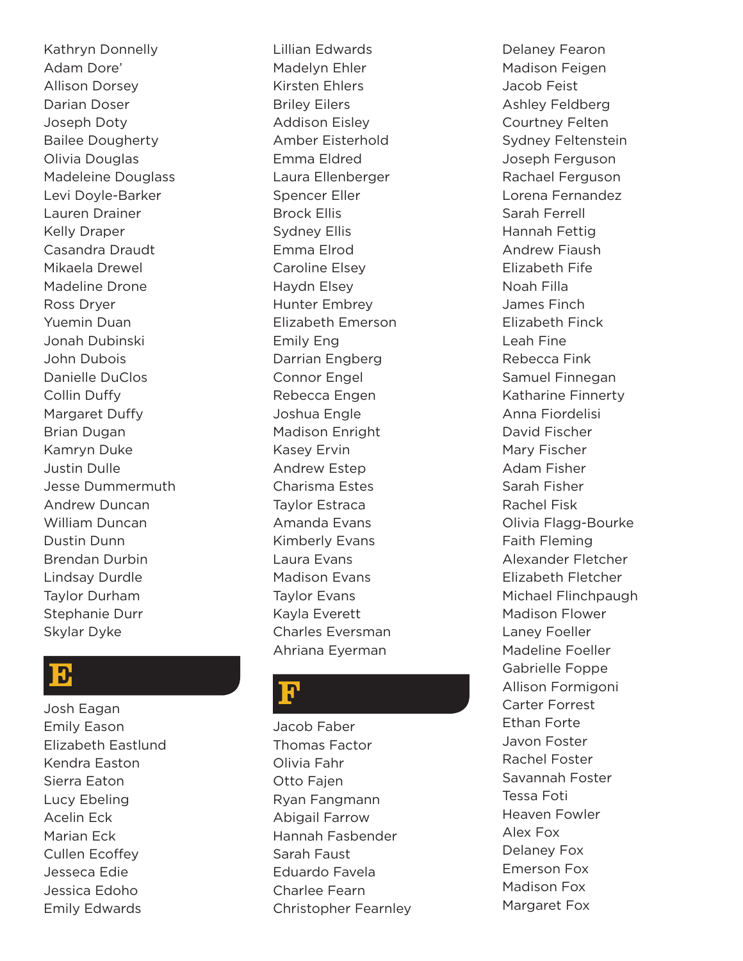Kathryn Donnelly Adam Dore' Allison Dorsey Darian Doser Joseph Doty Bailee Dougherty Olivia Douglas Madeleine Douglass Levi Doyle-Barker Lauren Drainer Kelly Draper Casandra Draudt Mikaela Drewel Madeline Drone Ross Dryer Yuemin Duan Jonah Dubinski John Dubois Danielle DuClos Collin Duffy Margaret Duffy Brian Dugan Kamryn Duke Justin Dulle Jesse Dummermuth Andrew Duncan William Duncan Dustin Dunn Brendan Durbin Lindsay Durdle Taylor Durham Stephanie Durr Skylar Dyke

#### E

Josh Eagan Emily Eason Elizabeth Eastlund Kendra Easton Sierra Eaton Lucy Ebeling Acelin Eck Marian Eck Cullen Ecoffey Jesseca Edie Jessica Edoho Emily Edwards

Lillian Edwards Madelyn Ehler Kirsten Ehlers Briley Eilers Addison Eisley Amber Eisterhold Emma Eldred Laura Ellenberger Spencer Eller Brock Ellis Sydney Ellis Emma Elrod Caroline Elsey Haydn Elsey Hunter Embrey Elizabeth Emerson Emily Eng Darrian Engberg Connor Engel Rebecca Engen Joshua Engle Madison Enright Kasey Ervin Andrew Estep Charisma Estes Taylor Estraca Amanda Evans Kimberly Evans Laura Evans Madison Evans Taylor Evans Kayla Everett Charles Eversman Ahriana Eyerman

### F

Jacob Faber Thomas Factor Olivia Fahr Otto Fajen Ryan Fangmann Abigail Farrow Hannah Fasbender Sarah Faust Eduardo Favela Charlee Fearn Christopher Fearnley Delaney Fearon Madison Feigen Jacob Feist Ashley Feldberg Courtney Felten Sydney Feltenstein Joseph Ferguson Rachael Ferguson Lorena Fernandez Sarah Ferrell Hannah Fettig Andrew Fiaush Elizabeth Fife Noah Filla James Finch Elizabeth Finck Leah Fine Rebecca Fink Samuel Finnegan Katharine Finnerty Anna Fiordelisi David Fischer Mary Fischer Adam Fisher Sarah Fisher Rachel Fisk Olivia Flagg-Bourke Faith Fleming Alexander Fletcher Elizabeth Fletcher Michael Flinchpaugh Madison Flower Laney Foeller Madeline Foeller Gabrielle Foppe Allison Formigoni Carter Forrest Ethan Forte Javon Foster Rachel Foster Savannah Foster Tessa Foti Heaven Fowler Alex Fox Delaney Fox Emerson Fox Madison Fox Margaret Fox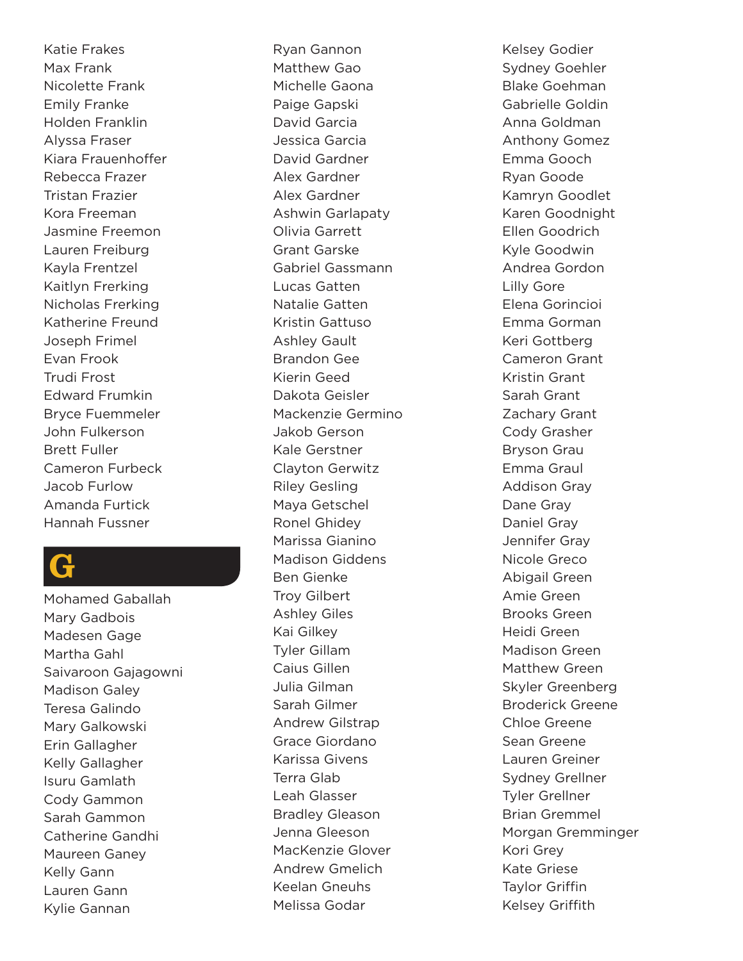Katie Frakes Max Frank Nicolette Frank Emily Franke Holden Franklin Alyssa Fraser Kiara Frauenhoffer Rebecca Frazer Tristan Frazier Kora Freeman Jasmine Freemon Lauren Freiburg Kayla Frentzel Kaitlyn Frerking Nicholas Frerking Katherine Freund Joseph Frimel Evan Frook Trudi Frost Edward Frumkin Bryce Fuemmeler John Fulkerson Brett Fuller Cameron Furbeck Jacob Furlow Amanda Furtick Hannah Fussner

### G

Mohamed Gaballah Mary Gadbois Madesen Gage Martha Gahl Saivaroon Gajagowni Madison Galey Teresa Galindo Mary Galkowski Erin Gallagher Kelly Gallagher Isuru Gamlath Cody Gammon Sarah Gammon Catherine Gandhi Maureen Ganey Kelly Gann Lauren Gann Kylie Gannan

Ryan Gannon Matthew Gao Michelle Gaona Paige Gapski David Garcia Jessica Garcia David Gardner Alex Gardner Alex Gardner Ashwin Garlapaty Olivia Garrett Grant Garske Gabriel Gassmann Lucas Gatten Natalie Gatten Kristin Gattuso Ashley Gault Brandon Gee Kierin Geed Dakota Geisler Mackenzie Germino Jakob Gerson Kale Gerstner Clayton Gerwitz Riley Gesling Maya Getschel Ronel Ghidey Marissa Gianino Madison Giddens Ben Gienke Troy Gilbert Ashley Giles Kai Gilkey Tyler Gillam Caius Gillen Julia Gilman Sarah Gilmer Andrew Gilstrap Grace Giordano Karissa Givens Terra Glab Leah Glasser Bradley Gleason Jenna Gleeson MacKenzie Glover Andrew Gmelich Keelan Gneuhs Melissa Godar

Kelsey Godier Sydney Goehler Blake Goehman Gabrielle Goldin Anna Goldman Anthony Gomez Emma Gooch Ryan Goode Kamryn Goodlet Karen Goodnight Ellen Goodrich Kyle Goodwin Andrea Gordon Lilly Gore Elena Gorincioi Emma Gorman Keri Gottberg Cameron Grant Kristin Grant Sarah Grant Zachary Grant Cody Grasher Bryson Grau Emma Graul Addison Gray Dane Gray Daniel Gray Jennifer Gray Nicole Greco Abigail Green Amie Green Brooks Green Heidi Green Madison Green Matthew Green Skyler Greenberg Broderick Greene Chloe Greene Sean Greene Lauren Greiner Sydney Grellner Tyler Grellner Brian Gremmel Morgan Gremminger Kori Grey Kate Griese Taylor Griffin Kelsey Griffith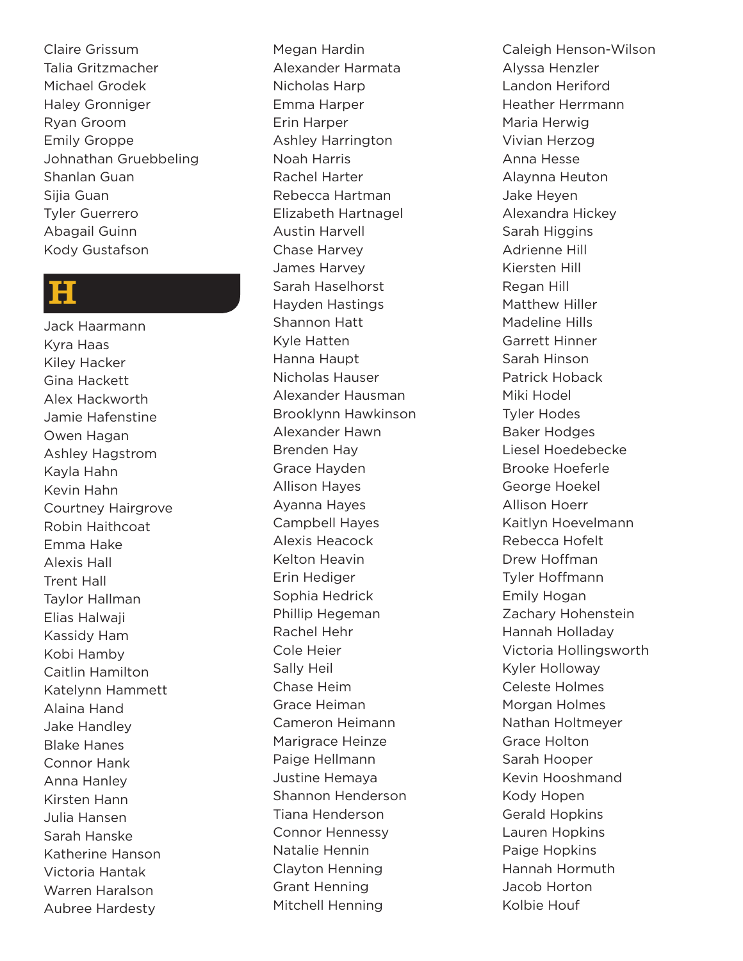Claire Grissum Talia Gritzmacher Michael Grodek Haley Gronniger Ryan Groom Emily Groppe Johnathan Gruebbeling Shanlan Guan Sijia Guan Tyler Guerrero Abagail Guinn Kody Gustafson

#### H

Jack Haarmann Kyra Haas Kiley Hacker Gina Hackett Alex Hackworth Jamie Hafenstine Owen Hagan Ashley Hagstrom Kayla Hahn Kevin Hahn Courtney Hairgrove Robin Haithcoat Emma Hake Alexis Hall Trent Hall Taylor Hallman Elias Halwaji Kassidy Ham Kobi Hamby Caitlin Hamilton Katelynn Hammett Alaina Hand Jake Handley Blake Hanes Connor Hank Anna Hanley Kirsten Hann Julia Hansen Sarah Hanske Katherine Hanson Victoria Hantak Warren Haralson Aubree Hardesty

Megan Hardin Alexander Harmata Nicholas Harp Emma Harper Erin Harper Ashley Harrington Noah Harris Rachel Harter Rebecca Hartman Elizabeth Hartnagel Austin Harvell Chase Harvey James Harvey Sarah Haselhorst Hayden Hastings Shannon Hatt Kyle Hatten Hanna Haupt Nicholas Hauser Alexander Hausman Brooklynn Hawkinson Alexander Hawn Brenden Hay Grace Hayden Allison Hayes Ayanna Hayes Campbell Hayes Alexis Heacock Kelton Heavin Erin Hediger Sophia Hedrick Phillip Hegeman Rachel Hehr Cole Heier Sally Heil Chase Heim Grace Heiman Cameron Heimann Marigrace Heinze Paige Hellmann Justine Hemaya Shannon Henderson Tiana Henderson Connor Hennessy Natalie Hennin Clayton Henning Grant Henning Mitchell Henning

Caleigh Henson-Wilson Alyssa Henzler Landon Heriford Heather Herrmann Maria Herwig Vivian Herzog Anna Hesse Alaynna Heuton Jake Heyen Alexandra Hickey Sarah Higgins Adrienne Hill Kiersten Hill Regan Hill Matthew Hiller Madeline Hills Garrett Hinner Sarah Hinson Patrick Hoback Miki Hodel Tyler Hodes Baker Hodges Liesel Hoedebecke Brooke Hoeferle George Hoekel Allison Hoerr Kaitlyn Hoevelmann Rebecca Hofelt Drew Hoffman Tyler Hoffmann Emily Hogan Zachary Hohenstein Hannah Holladay Victoria Hollingsworth Kyler Holloway Celeste Holmes Morgan Holmes Nathan Holtmeyer Grace Holton Sarah Hooper Kevin Hooshmand Kody Hopen Gerald Hopkins Lauren Hopkins Paige Hopkins Hannah Hormuth Jacob Horton Kolbie Houf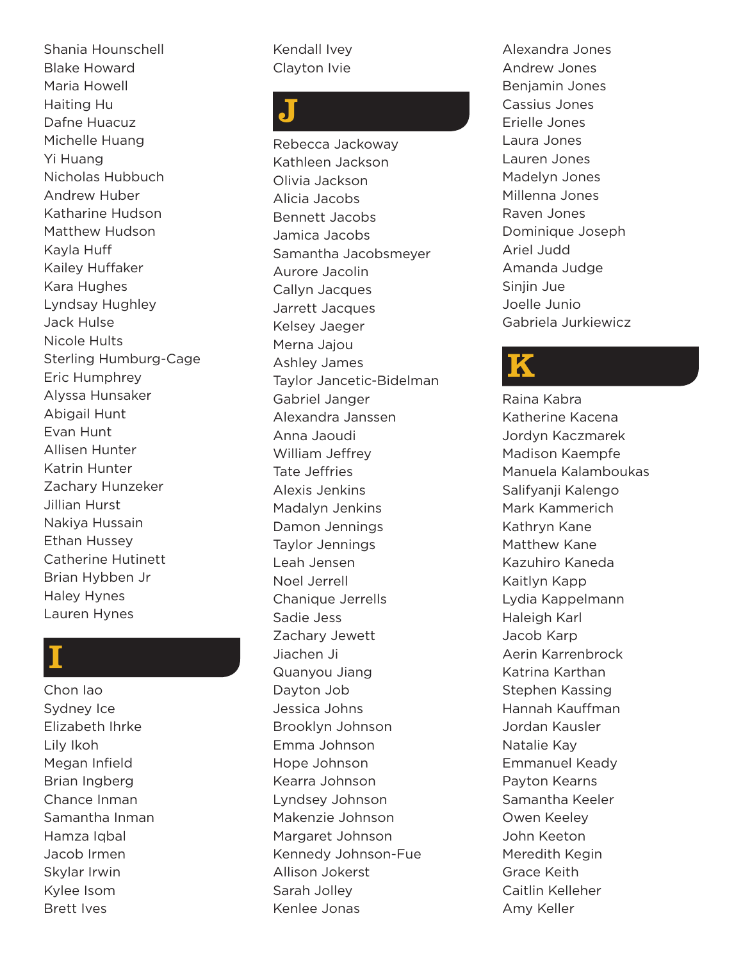Shania Hounschell Blake Howard Maria Howell Haiting Hu Dafne Huacuz Michelle Huang Yi Huang Nicholas Hubbuch Andrew Huber Katharine Hudson Matthew Hudson Kayla Huff Kailey Huffaker Kara Hughes Lyndsay Hughley Jack Hulse Nicole Hults Sterling Humburg-Cage Eric Humphrey Alyssa Hunsaker Abigail Hunt Evan Hunt Allisen Hunter Katrin Hunter Zachary Hunzeker Jillian Hurst Nakiya Hussain Ethan Hussey Catherine Hutinett Brian Hybben Jr Haley Hynes Lauren Hynes

### I

Chon Iao Sydney Ice Elizabeth Ihrke Lily Ikoh Megan Infield Brian Ingberg Chance Inman Samantha Inman Hamza Iqbal Jacob Irmen Skylar Irwin Kylee Isom Brett Ives

Kendall Ivey Clayton Ivie

### J

Rebecca Jackoway Kathleen Jackson Olivia Jackson Alicia Jacobs Bennett Jacobs Jamica Jacobs Samantha Jacobsmeyer Aurore Jacolin Callyn Jacques Jarrett Jacques Kelsey Jaeger Merna Jajou Ashley James Taylor Jancetic-Bidelman Gabriel Janger Alexandra Janssen Anna Jaoudi William Jeffrey Tate Jeffries Alexis Jenkins Madalyn Jenkins Damon Jennings Taylor Jennings Leah Jensen Noel Jerrell Chanique Jerrells Sadie Jess Zachary Jewett Jiachen Ji Quanyou Jiang Dayton Job Jessica Johns Brooklyn Johnson Emma Johnson Hope Johnson Kearra Johnson Lyndsey Johnson Makenzie Johnson Margaret Johnson Kennedy Johnson-Fue Allison Jokerst Sarah Jolley Kenlee Jonas

Alexandra Jones Andrew Jones Benjamin Jones Cassius Jones Erielle Jones Laura Jones Lauren Jones Madelyn Jones Millenna Jones Raven Jones Dominique Joseph Ariel Judd Amanda Judge Sinjin Jue Joelle Junio Gabriela Jurkiewicz

### K

Raina Kabra Katherine Kacena Jordyn Kaczmarek Madison Kaempfe Manuela Kalamboukas Salifyanji Kalengo Mark Kammerich Kathryn Kane Matthew Kane Kazuhiro Kaneda Kaitlyn Kapp Lydia Kappelmann Haleigh Karl Jacob Karp Aerin Karrenbrock Katrina Karthan Stephen Kassing Hannah Kauffman Jordan Kausler Natalie Kay Emmanuel Keady Payton Kearns Samantha Keeler Owen Keeley John Keeton Meredith Kegin Grace Keith Caitlin Kelleher Amy Keller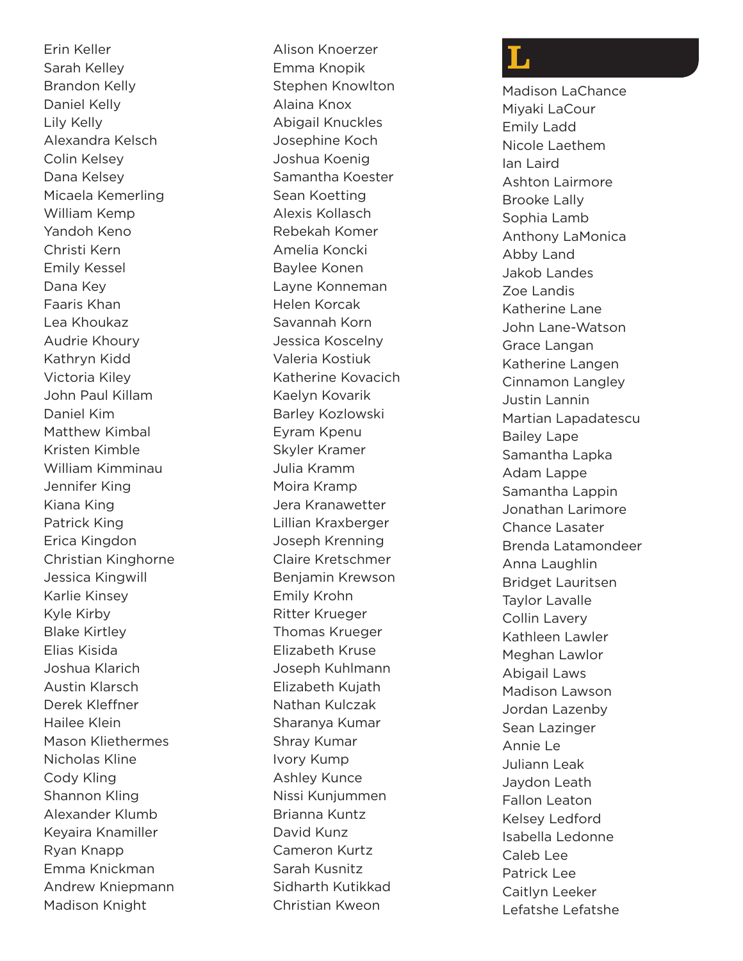Erin Keller Sarah Kelley Brandon Kelly Daniel Kelly Lily Kelly Alexandra Kelsch Colin Kelsey Dana Kelsey Micaela Kemerling William Kemp Yandoh Keno Christi Kern Emily Kessel Dana Key Faaris Khan Lea Khoukaz Audrie Khoury Kathryn Kidd Victoria Kiley John Paul Killam Daniel Kim Matthew Kimbal Kristen Kimble William Kimminau Jennifer King Kiana King Patrick King Erica Kingdon Christian Kinghorne Jessica Kingwill Karlie Kinsey Kyle Kirby Blake Kirtley Elias Kisida Joshua Klarich Austin Klarsch Derek Kleffner Hailee Klein Mason Kliethermes Nicholas Kline Cody Kling Shannon Kling Alexander Klumb Keyaira Knamiller Ryan Knapp Emma Knickman Andrew Kniepmann Madison Knight

Alison Knoerzer Emma Knopik Stephen Knowlton Alaina Knox Abigail Knuckles Josephine Koch Joshua Koenig Samantha Koester Sean Koetting Alexis Kollasch Rebekah Komer Amelia Koncki Baylee Konen Layne Konneman Helen Korcak Savannah Korn Jessica Koscelny Valeria Kostiuk Katherine Kovacich Kaelyn Kovarik Barley Kozlowski Eyram Kpenu Skyler Kramer Julia Kramm Moira Kramp Jera Kranawetter Lillian Kraxberger Joseph Krenning Claire Kretschmer Benjamin Krewson Emily Krohn Ritter Krueger Thomas Krueger Elizabeth Kruse Joseph Kuhlmann Elizabeth Kujath Nathan Kulczak Sharanya Kumar Shray Kumar Ivory Kump Ashley Kunce Nissi Kunjummen Brianna Kuntz David Kunz Cameron Kurtz Sarah Kusnitz Sidharth Kutikkad Christian Kweon

### L

Madison LaChance Miyaki LaCour Emily Ladd Nicole Laethem Ian Laird Ashton Lairmore Brooke Lally Sophia Lamb Anthony LaMonica Abby Land Jakob Landes Zoe Landis Katherine Lane John Lane-Watson Grace Langan Katherine Langen Cinnamon Langley Justin Lannin Martian Lapadatescu Bailey Lape Samantha Lapka Adam Lappe Samantha Lappin Jonathan Larimore Chance Lasater Brenda Latamondeer Anna Laughlin Bridget Lauritsen Taylor Lavalle Collin Lavery Kathleen Lawler Meghan Lawlor Abigail Laws Madison Lawson Jordan Lazenby Sean Lazinger Annie Le Juliann Leak Jaydon Leath Fallon Leaton Kelsey Ledford Isabella Ledonne Caleb Lee Patrick Lee Caitlyn Leeker Lefatshe Lefatshe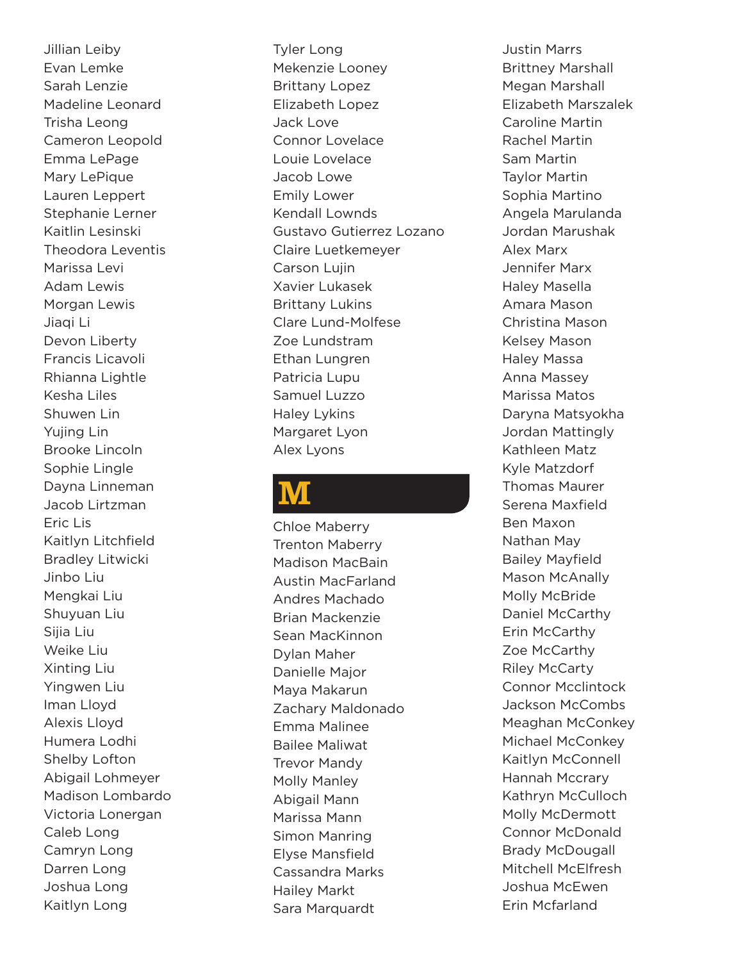Jillian Leiby Evan Lemke Sarah Lenzie Madeline Leonard Trisha Leong Cameron Leopold Emma LePage Mary LePique Lauren Leppert Stephanie Lerner Kaitlin Lesinski Theodora Leventis Marissa Levi Adam Lewis Morgan Lewis Jiaqi Li Devon Liberty Francis Licavoli Rhianna Lightle Kesha Liles Shuwen Lin Yujing Lin Brooke Lincoln Sophie Lingle Dayna Linneman Jacob Lirtzman Eric Lis Kaitlyn Litchfield Bradley Litwicki Jinbo Liu Mengkai Liu Shuyuan Liu Sijia Liu Weike Liu Xinting Liu Yingwen Liu Iman Lloyd Alexis Lloyd Humera Lodhi Shelby Lofton Abigail Lohmeyer Madison Lombardo Victoria Lonergan Caleb Long Camryn Long Darren Long Joshua Long Kaitlyn Long

Tyler Long Mekenzie Looney Brittany Lopez Elizabeth Lopez Jack Love Connor Lovelace Louie Lovelace Jacob Lowe Emily Lower Kendall Lownds Gustavo Gutierrez Lozano Claire Luetkemeyer Carson Lujin Xavier Lukasek Brittany Lukins Clare Lund-Molfese Zoe Lundstram Ethan Lungren Patricia Lupu Samuel Luzzo Haley Lykins Margaret Lyon Alex Lyons

### M

Chloe Maberry Trenton Maberry Madison MacBain Austin MacFarland Andres Machado Brian Mackenzie Sean MacKinnon Dylan Maher Danielle Major Maya Makarun Zachary Maldonado Emma Malinee Bailee Maliwat Trevor Mandy Molly Manley Abigail Mann Marissa Mann Simon Manring Elyse Mansfield Cassandra Marks Hailey Markt Sara Marquardt

Justin Marrs Brittney Marshall Megan Marshall Elizabeth Marszalek Caroline Martin Rachel Martin Sam Martin Taylor Martin Sophia Martino Angela Marulanda Jordan Marushak Alex Marx Jennifer Marx Haley Masella Amara Mason Christina Mason Kelsey Mason Haley Massa Anna Massey Marissa Matos Daryna Matsyokha Jordan Mattingly Kathleen Matz Kyle Matzdorf Thomas Maurer Serena Maxfield Ben Maxon Nathan May Bailey Mayfield Mason McAnally Molly McBride Daniel McCarthy Erin McCarthy Zoe McCarthy Riley McCarty Connor Mcclintock Jackson McCombs Meaghan McConkey Michael McConkey Kaitlyn McConnell Hannah Mccrary Kathryn McCulloch Molly McDermott Connor McDonald Brady McDougall Mitchell McElfresh Joshua McEwen Erin Mcfarland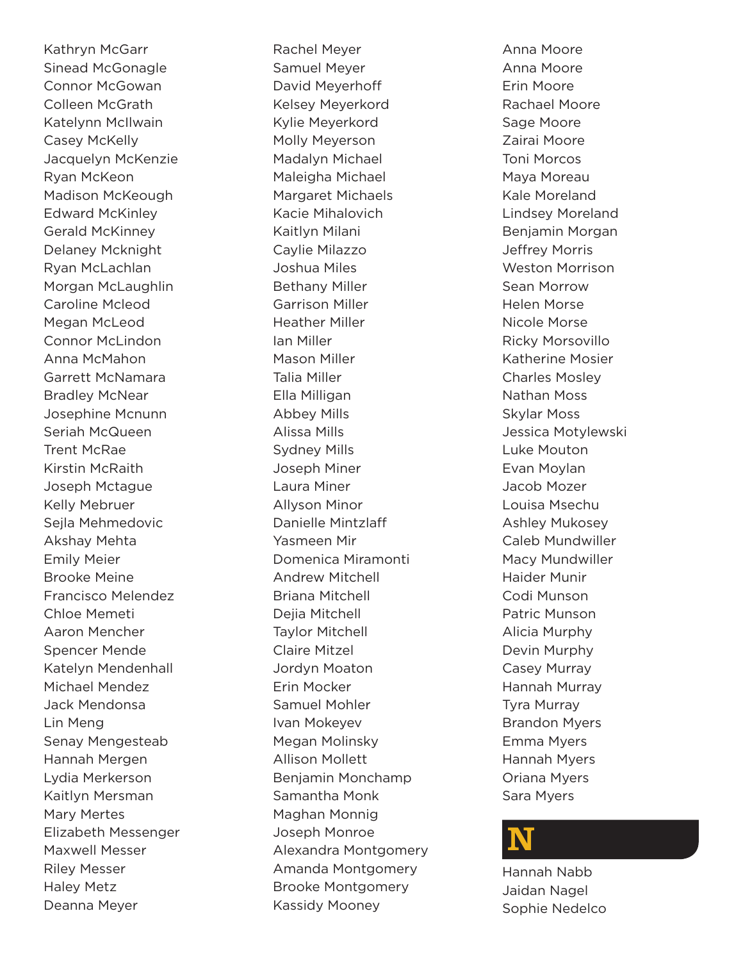Kathryn McGarr Sinead McGonagle Connor McGowan Colleen McGrath Katelynn McIlwain Casey McKelly Jacquelyn McKenzie Ryan McKeon Madison McKeough Edward McKinley Gerald McKinney Delaney Mcknight Ryan McLachlan Morgan McLaughlin Caroline Mcleod Megan McLeod Connor McLindon Anna McMahon Garrett McNamara Bradley McNear Josephine Mcnunn Seriah McQueen Trent McRae Kirstin McRaith Joseph Mctague Kelly Mebruer Sejla Mehmedovic Akshay Mehta Emily Meier Brooke Meine Francisco Melendez Chloe Memeti Aaron Mencher Spencer Mende Katelyn Mendenhall Michael Mendez Jack Mendonsa Lin Meng Senay Mengesteab Hannah Mergen Lydia Merkerson Kaitlyn Mersman Mary Mertes Elizabeth Messenger Maxwell Messer Riley Messer Haley Metz Deanna Meyer

Rachel Meyer Samuel Meyer David Meyerhoff Kelsey Meyerkord Kylie Meyerkord Molly Meyerson Madalyn Michael Maleigha Michael Margaret Michaels Kacie Mihalovich Kaitlyn Milani Caylie Milazzo Joshua Miles Bethany Miller Garrison Miller Heather Miller Ian Miller Mason Miller Talia Miller Ella Milligan Abbey Mills Alissa Mills Sydney Mills Joseph Miner Laura Miner Allyson Minor Danielle Mintzlaff Yasmeen Mir Domenica Miramonti Andrew Mitchell Briana Mitchell Dejia Mitchell Taylor Mitchell Claire Mitzel Jordyn Moaton Erin Mocker Samuel Mohler Ivan Mokeyev Megan Molinsky Allison Mollett Benjamin Monchamp Samantha Monk Maghan Monnig Joseph Monroe Alexandra Montgomery Amanda Montgomery Brooke Montgomery Kassidy Mooney

Anna Moore Anna Moore Erin Moore Rachael Moore Sage Moore Zairai Moore Toni Morcos Maya Moreau Kale Moreland Lindsey Moreland Benjamin Morgan Jeffrey Morris Weston Morrison Sean Morrow Helen Morse Nicole Morse Ricky Morsovillo Katherine Mosier Charles Mosley Nathan Moss Skylar Moss Jessica Motylewski Luke Mouton Evan Moylan Jacob Mozer Louisa Msechu Ashley Mukosey Caleb Mundwiller Macy Mundwiller Haider Munir Codi Munson Patric Munson Alicia Murphy Devin Murphy Casey Murray Hannah Murray Tyra Murray Brandon Myers Emma Myers Hannah Myers Oriana Myers Sara Myers

### N

Hannah Nabb Jaidan Nagel Sophie Nedelco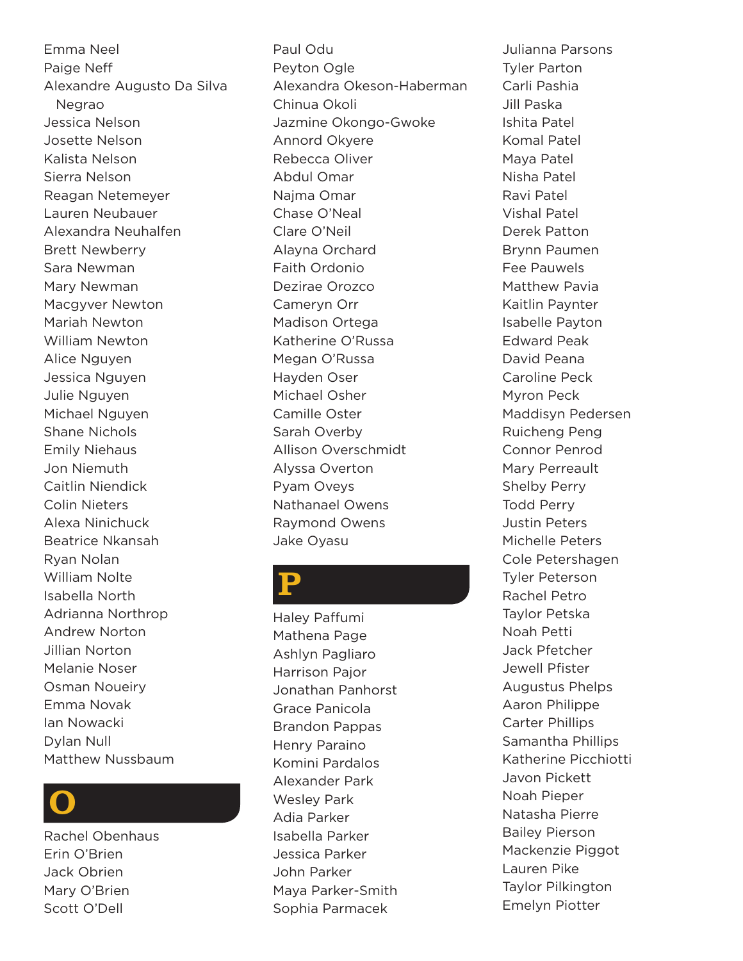Emma Neel Paige Neff Alexandre Augusto Da Silva Negrao Jessica Nelson Josette Nelson Kalista Nelson Sierra Nelson Reagan Netemeyer Lauren Neubauer Alexandra Neuhalfen Brett Newberry Sara Newman Mary Newman Macgyver Newton Mariah Newton William Newton Alice Nguyen Jessica Nguyen Julie Nguyen Michael Nguyen Shane Nichols Emily Niehaus Jon Niemuth Caitlin Niendick Colin Nieters Alexa Ninichuck Beatrice Nkansah Ryan Nolan William Nolte Isabella North Adrianna Northrop Andrew Norton Jillian Norton Melanie Noser Osman Noueiry Emma Novak Ian Nowacki Dylan Null Matthew Nussbaum

### O

Rachel Obenhaus Erin O'Brien Jack Obrien Mary O'Brien Scott O'Dell

Paul Odu Peyton Ogle Alexandra Okeson-Haberman Chinua Okoli Jazmine Okongo-Gwoke Annord Okyere Rebecca Oliver Abdul Omar Najma Omar Chase O'Neal Clare O'Neil Alayna Orchard Faith Ordonio Dezirae Orozco Cameryn Orr Madison Ortega Katherine O'Russa Megan O'Russa Hayden Oser Michael Osher Camille Oster Sarah Overby Allison Overschmidt Alyssa Overton Pyam Oveys Nathanael Owens Raymond Owens Jake Oyasu

### P

Haley Paffumi Mathena Page Ashlyn Pagliaro Harrison Pajor Jonathan Panhorst Grace Panicola Brandon Pappas Henry Paraino Komini Pardalos Alexander Park Wesley Park Adia Parker Isabella Parker Jessica Parker John Parker Maya Parker-Smith Sophia Parmacek

Julianna Parsons Tyler Parton Carli Pashia Jill Paska Ishita Patel Komal Patel Maya Patel Nisha Patel Ravi Patel Vishal Patel Derek Patton Brynn Paumen Fee Pauwels Matthew Pavia Kaitlin Paynter Isabelle Payton Edward Peak David Peana Caroline Peck Myron Peck Maddisyn Pedersen Ruicheng Peng Connor Penrod Mary Perreault Shelby Perry Todd Perry Justin Peters Michelle Peters Cole Petershagen Tyler Peterson Rachel Petro Taylor Petska Noah Petti Jack Pfetcher Jewell Pfister Augustus Phelps Aaron Philippe Carter Phillips Samantha Phillips Katherine Picchiotti Javon Pickett Noah Pieper Natasha Pierre Bailey Pierson Mackenzie Piggot Lauren Pike Taylor Pilkington Emelyn Piotter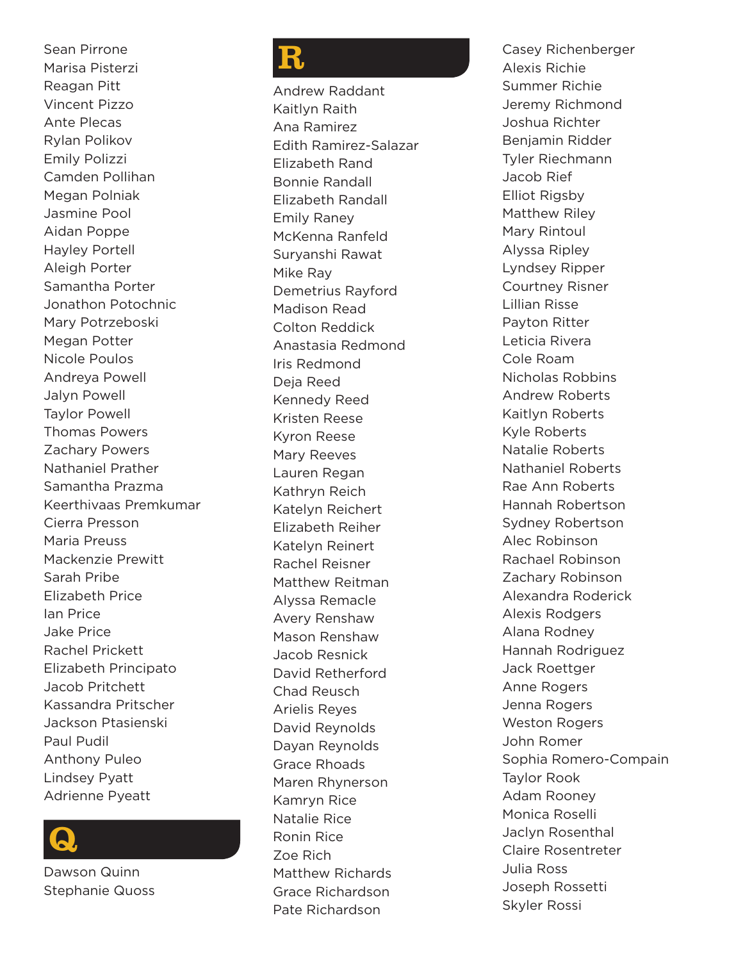Sean Pirrone Marisa Pisterzi Reagan Pitt Vincent Pizzo Ante Plecas Rylan Polikov Emily Polizzi Camden Pollihan Megan Polniak Jasmine Pool Aidan Poppe Hayley Portell Aleigh Porter Samantha Porter Jonathon Potochnic Mary Potrzeboski Megan Potter Nicole Poulos Andreya Powell Jalyn Powell Taylor Powell Thomas Powers Zachary Powers Nathaniel Prather Samantha Prazma Keerthivaas Premkumar Cierra Presson Maria Preuss Mackenzie Prewitt Sarah Pribe Elizabeth Price Ian Price Jake Price Rachel Prickett Elizabeth Principato Jacob Pritchett Kassandra Pritscher Jackson Ptasienski Paul Pudil Anthony Puleo Lindsey Pyatt Adrienne Pyeatt

### Q

Dawson Quinn Stephanie Quoss

### R

Andrew Raddant Kaitlyn Raith Ana Ramirez Edith Ramirez-Salazar Elizabeth Rand Bonnie Randall Elizabeth Randall Emily Raney McKenna Ranfeld Suryanshi Rawat Mike Ray Demetrius Rayford Madison Read Colton Reddick Anastasia Redmond Iris Redmond Deja Reed Kennedy Reed Kristen Reese Kyron Reese Mary Reeves Lauren Regan Kathryn Reich Katelyn Reichert Elizabeth Reiher Katelyn Reinert Rachel Reisner Matthew Reitman Alyssa Remacle Avery Renshaw Mason Renshaw Jacob Resnick David Retherford Chad Reusch Arielis Reyes David Reynolds Dayan Reynolds Grace Rhoads Maren Rhynerson Kamryn Rice Natalie Rice Ronin Rice Zoe Rich Matthew Richards Grace Richardson Pate Richardson

Casey Richenberger Alexis Richie Summer Richie Jeremy Richmond Joshua Richter Benjamin Ridder Tyler Riechmann Jacob Rief Elliot Rigsby Matthew Riley Mary Rintoul Alyssa Ripley Lyndsey Ripper Courtney Risner Lillian Risse Payton Ritter Leticia Rivera Cole Roam Nicholas Robbins Andrew Roberts Kaitlyn Roberts Kyle Roberts Natalie Roberts Nathaniel Roberts Rae Ann Roberts Hannah Robertson Sydney Robertson Alec Robinson Rachael Robinson Zachary Robinson Alexandra Roderick Alexis Rodgers Alana Rodney Hannah Rodriguez Jack Roettger Anne Rogers Jenna Rogers Weston Rogers John Romer Sophia Romero-Compain Taylor Rook Adam Rooney Monica Roselli Jaclyn Rosenthal Claire Rosentreter Julia Ross Joseph Rossetti Skyler Rossi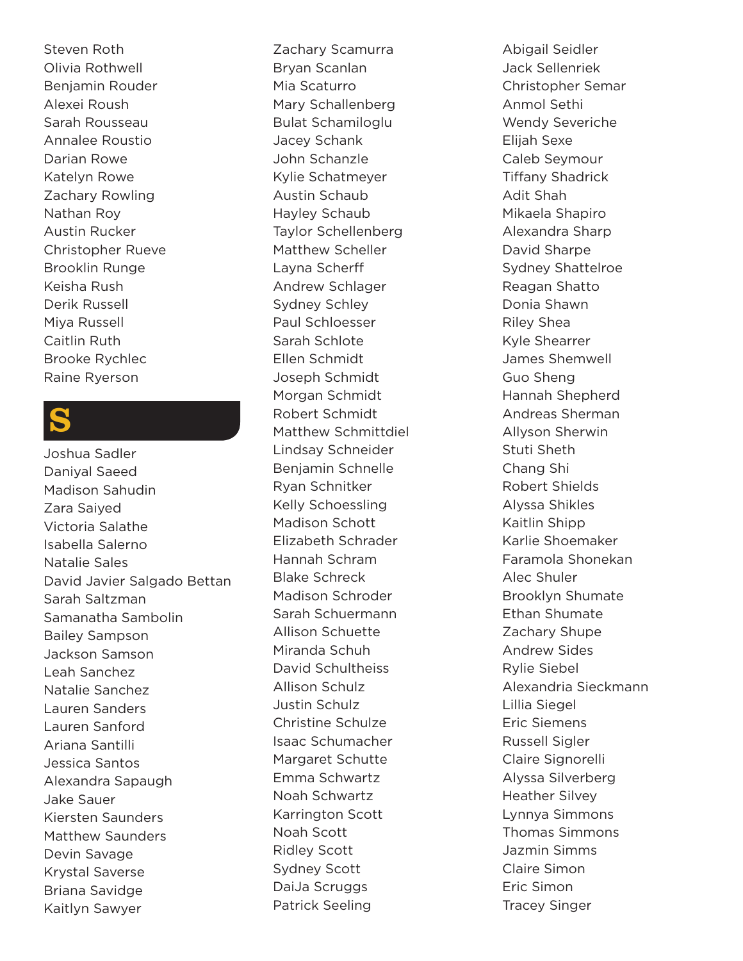Steven Roth Olivia Rothwell Benjamin Rouder Alexei Roush Sarah Rousseau Annalee Roustio Darian Rowe Katelyn Rowe Zachary Rowling Nathan Roy Austin Rucker Christopher Rueve Brooklin Runge Keisha Rush Derik Russell Miya Russell Caitlin Ruth Brooke Rychlec Raine Ryerson

### S

Joshua Sadler Daniyal Saeed Madison Sahudin Zara Saiyed Victoria Salathe Isabella Salerno Natalie Sales David Javier Salgado Bettan Sarah Saltzman Samanatha Sambolin Bailey Sampson Jackson Samson Leah Sanchez Natalie Sanchez Lauren Sanders Lauren Sanford Ariana Santilli Jessica Santos Alexandra Sapaugh Jake Sauer Kiersten Saunders Matthew Saunders Devin Savage Krystal Saverse Briana Savidge Kaitlyn Sawyer

Zachary Scamurra Bryan Scanlan Mia Scaturro Mary Schallenberg Bulat Schamiloglu Jacey Schank John Schanzle Kylie Schatmeyer Austin Schaub Hayley Schaub Taylor Schellenberg Matthew Scheller Layna Scherff Andrew Schlager Sydney Schley Paul Schloesser Sarah Schlote Ellen Schmidt Joseph Schmidt Morgan Schmidt Robert Schmidt Matthew Schmittdiel Lindsay Schneider Benjamin Schnelle Ryan Schnitker Kelly Schoessling Madison Schott Elizabeth Schrader Hannah Schram Blake Schreck Madison Schroder Sarah Schuermann Allison Schuette Miranda Schuh David Schultheiss Allison Schulz Justin Schulz Christine Schulze Isaac Schumacher Margaret Schutte Emma Schwartz Noah Schwartz Karrington Scott Noah Scott Ridley Scott Sydney Scott DaiJa Scruggs Patrick Seeling

Abigail Seidler Jack Sellenriek Christopher Semar Anmol Sethi Wendy Severiche Elijah Sexe Caleb Seymour Tiffany Shadrick Adit Shah Mikaela Shapiro Alexandra Sharp David Sharpe Sydney Shattelroe Reagan Shatto Donia Shawn Riley Shea Kyle Shearrer James Shemwell Guo Sheng Hannah Shepherd Andreas Sherman Allyson Sherwin Stuti Sheth Chang Shi Robert Shields Alyssa Shikles Kaitlin Shipp Karlie Shoemaker Faramola Shonekan Alec Shuler Brooklyn Shumate Ethan Shumate Zachary Shupe Andrew Sides Rylie Siebel Alexandria Sieckmann Lillia Siegel Eric Siemens Russell Sigler Claire Signorelli Alyssa Silverberg Heather Silvey Lynnya Simmons Thomas Simmons Jazmin Simms Claire Simon Eric Simon Tracey Singer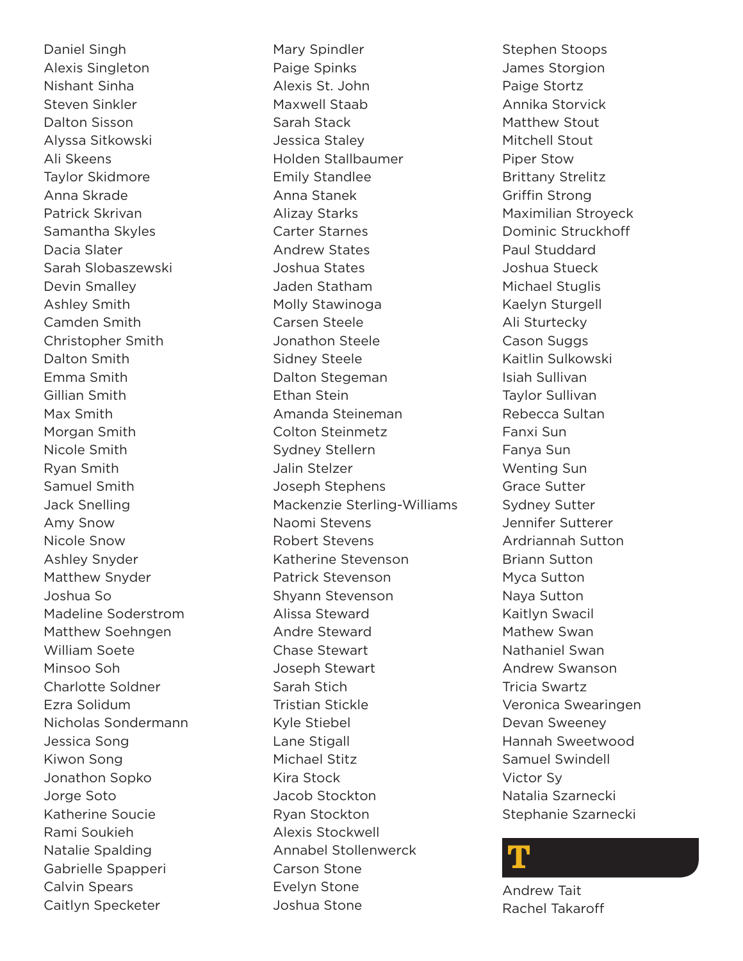Daniel Singh Alexis Singleton Nishant Sinha Steven Sinkler Dalton Sisson Alyssa Sitkowski Ali Skeens Taylor Skidmore Anna Skrade Patrick Skrivan Samantha Skyles Dacia Slater Sarah Slobaszewski Devin Smalley Ashley Smith Camden Smith Christopher Smith Dalton Smith Emma Smith Gillian Smith Max Smith Morgan Smith Nicole Smith Ryan Smith Samuel Smith Jack Snelling Amy Snow Nicole Snow Ashley Snyder Matthew Snyder Joshua So Madeline Soderstrom Matthew Soehngen William Soete Minsoo Soh Charlotte Soldner Ezra Solidum Nicholas Sondermann Jessica Song Kiwon Song Jonathon Sopko Jorge Soto Katherine Soucie Rami Soukieh Natalie Spalding Gabrielle Spapperi Calvin Spears Caitlyn Specketer

Mary Spindler Paige Spinks Alexis St. John Maxwell Staab Sarah Stack Jessica Staley Holden Stallbaumer Emily Standlee Anna Stanek Alizay Starks Carter Starnes Andrew States Joshua States Jaden Statham Molly Stawinoga Carsen Steele Jonathon Steele Sidney Steele Dalton Stegeman Ethan Stein Amanda Steineman Colton Steinmetz Sydney Stellern Jalin Stelzer Joseph Stephens Mackenzie Sterling-Williams Naomi Stevens Robert Stevens Katherine Stevenson Patrick Stevenson Shyann Stevenson Alissa Steward Andre Steward Chase Stewart Joseph Stewart Sarah Stich Tristian Stickle Kyle Stiebel Lane Stigall Michael Stitz Kira Stock Jacob Stockton Ryan Stockton Alexis Stockwell Annabel Stollenwerck Carson Stone Evelyn Stone Joshua Stone

Stephen Stoops James Storgion Paige Stortz Annika Storvick Matthew Stout Mitchell Stout Piper Stow Brittany Strelitz Griffin Strong Maximilian Stroyeck Dominic Struckhoff Paul Studdard Joshua Stueck Michael Stuglis Kaelyn Sturgell Ali Sturtecky Cason Suggs Kaitlin Sulkowski Isiah Sullivan Taylor Sullivan Rebecca Sultan Fanxi Sun Fanya Sun Wenting Sun Grace Sutter Sydney Sutter Jennifer Sutterer Ardriannah Sutton Briann Sutton Myca Sutton Naya Sutton Kaitlyn Swacil Mathew Swan Nathaniel Swan Andrew Swanson Tricia Swartz Veronica Swearingen Devan Sweeney Hannah Sweetwood Samuel Swindell Victor Sy Natalia Szarnecki Stephanie Szarnecki

### T

Andrew Tait Rachel Takaroff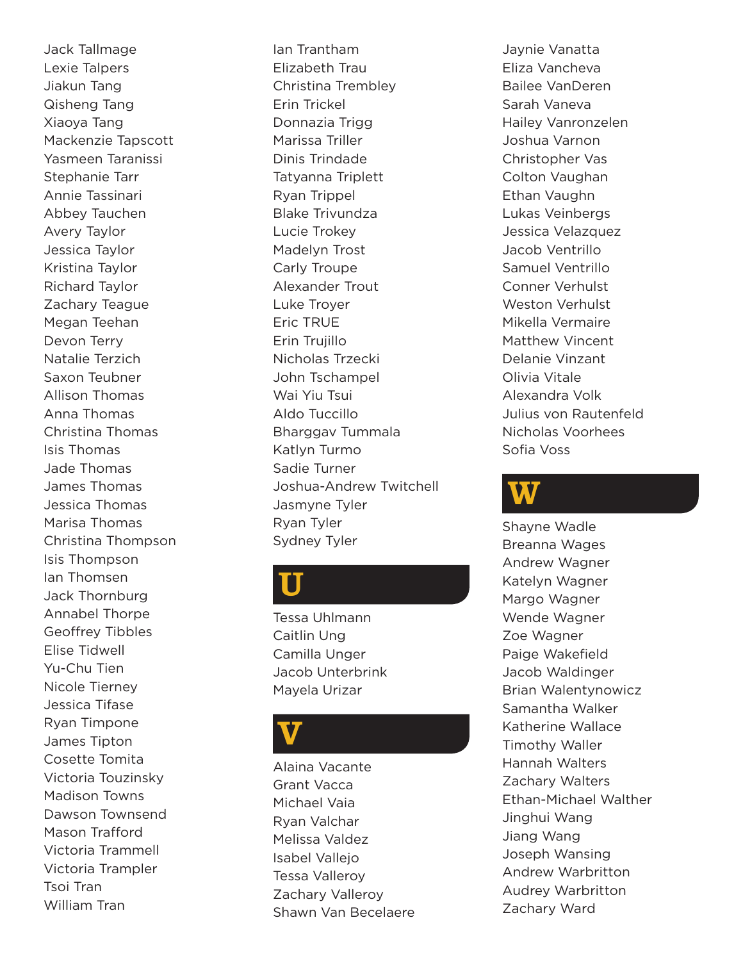Jack Tallmage Lexie Talpers Jiakun Tang Qisheng Tang Xiaoya Tang Mackenzie Tapscott Yasmeen Taranissi Stephanie Tarr Annie Tassinari Abbey Tauchen Avery Taylor Jessica Taylor Kristina Taylor Richard Taylor Zachary Teague Megan Teehan Devon Terry Natalie Terzich Saxon Teubner Allison Thomas Anna Thomas Christina Thomas Isis Thomas Jade Thomas James Thomas Jessica Thomas Marisa Thomas Christina Thompson Isis Thompson Ian Thomsen Jack Thornburg Annabel Thorpe Geoffrey Tibbles Elise Tidwell Yu-Chu Tien Nicole Tierney Jessica Tifase Ryan Timpone James Tipton Cosette Tomita Victoria Touzinsky Madison Towns Dawson Townsend Mason Trafford Victoria Trammell Victoria Trampler Tsoi Tran William Tran

Ian Trantham Elizabeth Trau Christina Trembley Erin Trickel Donnazia Trigg Marissa Triller Dinis Trindade Tatyanna Triplett Ryan Trippel Blake Trivundza Lucie Trokey Madelyn Trost Carly Troupe Alexander Trout Luke Troyer Eric TRUE Erin Trujillo Nicholas Trzecki John Tschampel Wai Yiu Tsui Aldo Tuccillo Bharggav Tummala Katlyn Turmo Sadie Turner Joshua-Andrew Twitchell Jasmyne Tyler Ryan Tyler Sydney Tyler

### U

Tessa Uhlmann Caitlin Ung Camilla Unger Jacob Unterbrink Mayela Urizar

### **V**

Alaina Vacante Grant Vacca Michael Vaia Ryan Valchar Melissa Valdez Isabel Vallejo Tessa Valleroy Zachary Valleroy Shawn Van Becelaere

Jaynie Vanatta Eliza Vancheva Bailee VanDeren Sarah Vaneva Hailey Vanronzelen Joshua Varnon Christopher Vas Colton Vaughan Ethan Vaughn Lukas Veinbergs Jessica Velazquez Jacob Ventrillo Samuel Ventrillo Conner Verhulst Weston Verhulst Mikella Vermaire Matthew Vincent Delanie Vinzant Olivia Vitale Alexandra Volk Julius von Rautenfeld Nicholas Voorhees Sofia Voss

### W

Shayne Wadle Breanna Wages Andrew Wagner Katelyn Wagner Margo Wagner Wende Wagner Zoe Wagner Paige Wakefield Jacob Waldinger Brian Walentynowicz Samantha Walker Katherine Wallace Timothy Waller Hannah Walters Zachary Walters Ethan-Michael Walther Jinghui Wang Jiang Wang Joseph Wansing Andrew Warbritton Audrey Warbritton Zachary Ward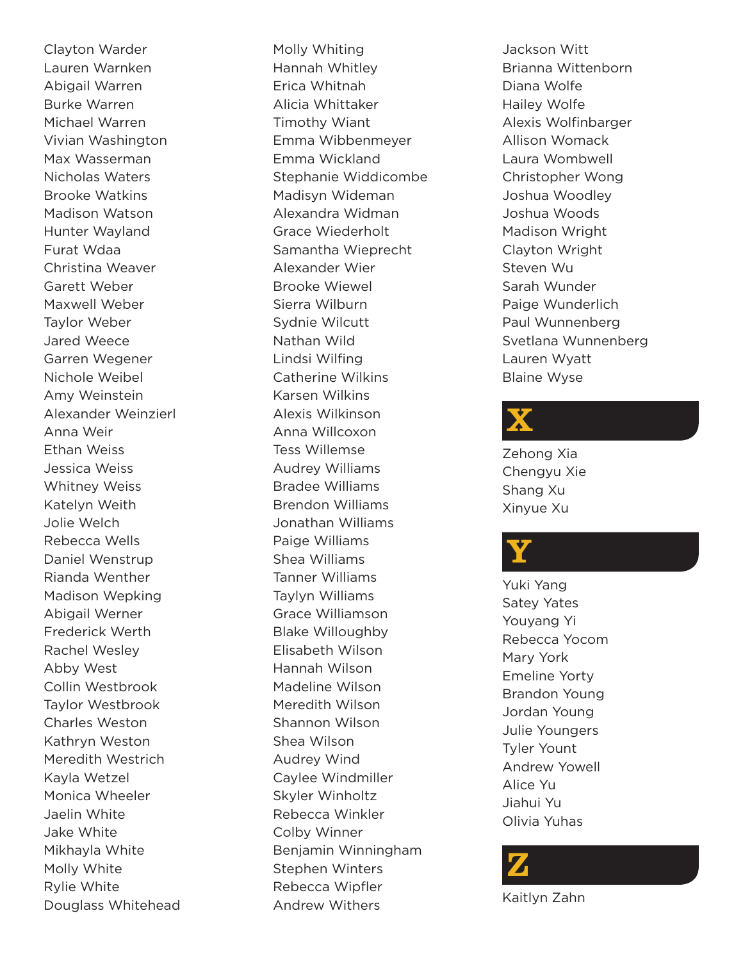Clayton Warder Lauren Warnken Abigail Warren Burke Warren Michael Warren Vivian Washington Max Wasserman Nicholas Waters Brooke Watkins Madison Watson Hunter Wayland Furat Wdaa Christina Weaver Garett Weber Maxwell Weber Taylor Weber Jared Weece Garren Wegener Nichole Weibel Amy Weinstein Alexander Weinzierl Anna Weir Ethan Weiss Jessica Weiss Whitney Weiss Katelyn Weith Jolie Welch Rebecca Wells Daniel Wenstrup Rianda Wenther Madison Wepking Abigail Werner Frederick Werth Rachel Wesley Abby West Collin Westbrook Taylor Westbrook Charles Weston Kathryn Weston Meredith Westrich Kayla Wetzel Monica Wheeler Jaelin White Jake White Mikhayla White Molly White Rylie White Douglass Whitehead Molly Whiting Hannah Whitley Erica Whitnah Alicia Whittaker Timothy Wiant Emma Wibbenmeyer Emma Wickland Stephanie Widdicombe Madisyn Wideman Alexandra Widman Grace Wiederholt Samantha Wieprecht Alexander Wier Brooke Wiewel Sierra Wilburn Sydnie Wilcutt Nathan Wild Lindsi Wilfing Catherine Wilkins Karsen Wilkins Alexis Wilkinson Anna Willcoxon Tess Willemse Audrey Williams Bradee Williams Brendon Williams Jonathan Williams Paige Williams Shea Williams Tanner Williams Taylyn Williams Grace Williamson Blake Willoughby Elisabeth Wilson Hannah Wilson Madeline Wilson Meredith Wilson Shannon Wilson Shea Wilson Audrey Wind Caylee Windmiller Skyler Winholtz Rebecca Winkler Colby Winner Benjamin Winningham Stephen Winters Rebecca Wipfler Andrew Withers

Jackson Witt Brianna Wittenborn Diana Wolfe Hailey Wolfe Alexis Wolfinbarger Allison Womack Laura Wombwell Christopher Wong Joshua Woodley Joshua Woods Madison Wright Clayton Wright Steven Wu Sarah Wunder Paige Wunderlich Paul Wunnenberg Svetlana Wunnenberg Lauren Wyatt Blaine Wyse

### X

Zehong Xia Chengyu Xie Shang Xu Xinyue Xu

## Y

Yuki Yang Satey Yates Youyang Yi Rebecca Yocom Mary York Emeline Yorty Brandon Young Jordan Young Julie Youngers Tyler Yount Andrew Yowell Alice Yu Jiahui Yu Olivia Yuhas



Kaitlyn Zahn